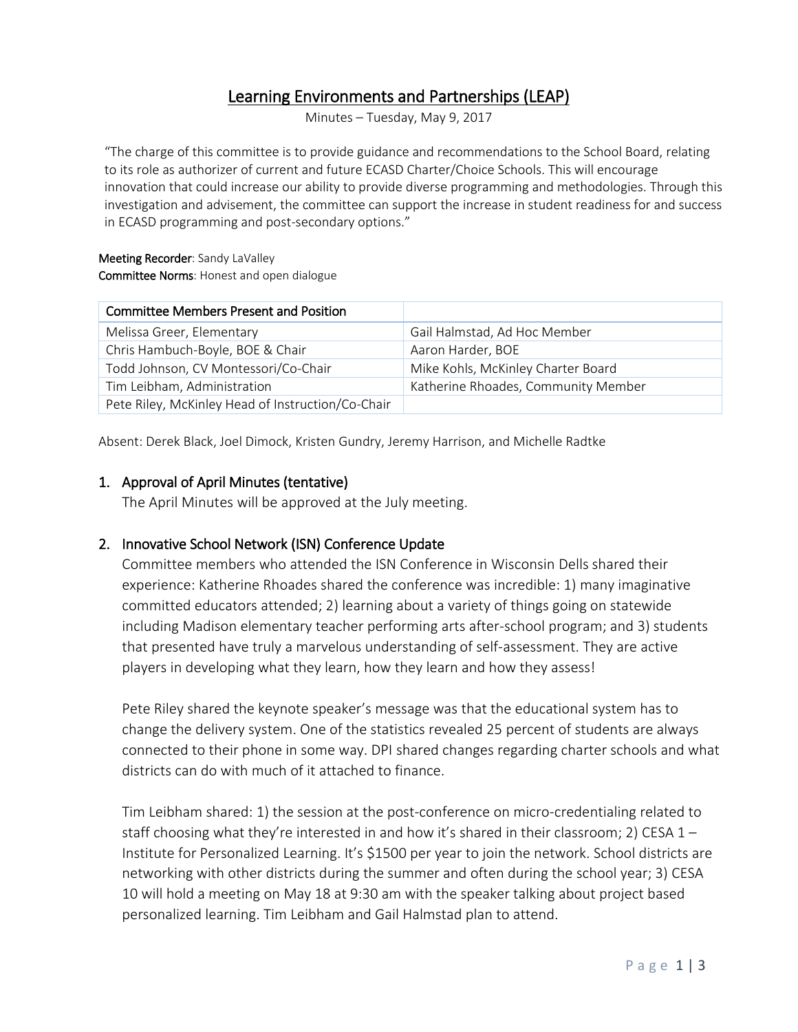# Learning Environments and Partnerships (LEAP)

Minutes – Tuesday, May 9, 2017

"The charge of this committee is to provide guidance and recommendations to the School Board, relating to its role as authorizer of current and future ECASD Charter/Choice Schools. This will encourage innovation that could increase our ability to provide diverse programming and methodologies. Through this investigation and advisement, the committee can support the increase in student readiness for and success in ECASD programming and post-secondary options."

#### Meeting Recorder: Sandy LaValley Committee Norms: Honest and open dialogue

| <b>Committee Members Present and Position</b>     |                                     |
|---------------------------------------------------|-------------------------------------|
| Melissa Greer, Elementary                         | Gail Halmstad, Ad Hoc Member        |
| Chris Hambuch-Boyle, BOE & Chair                  | Aaron Harder, BOE                   |
| Todd Johnson, CV Montessori/Co-Chair              | Mike Kohls, McKinley Charter Board  |
| Tim Leibham, Administration                       | Katherine Rhoades, Community Member |
| Pete Riley, McKinley Head of Instruction/Co-Chair |                                     |

Absent: Derek Black, Joel Dimock, Kristen Gundry, Jeremy Harrison, and Michelle Radtke

#### 1. Approval of April Minutes (tentative)

The April Minutes will be approved at the July meeting.

#### 2. Innovative School Network (ISN) Conference Update

Committee members who attended the ISN Conference in Wisconsin Dells shared their experience: Katherine Rhoades shared the conference was incredible: 1) many imaginative committed educators attended; 2) learning about a variety of things going on statewide including Madison elementary teacher performing arts after-school program; and 3) students that presented have truly a marvelous understanding of self-assessment. They are active players in developing what they learn, how they learn and how they assess!

Pete Riley shared the keynote speaker's message was that the educational system has to change the delivery system. One of the statistics revealed 25 percent of students are always connected to their phone in some way. DPI shared changes regarding charter schools and what districts can do with much of it attached to finance.

Tim Leibham shared: 1) the session at the post-conference on micro-credentialing related to staff choosing what they're interested in and how it's shared in their classroom; 2) CESA  $1-$ Institute for Personalized Learning. It's \$1500 per year to join the network. School districts are networking with other districts during the summer and often during the school year; 3) CESA 10 will hold a meeting on May 18 at 9:30 am with the speaker talking about project based personalized learning. Tim Leibham and Gail Halmstad plan to attend.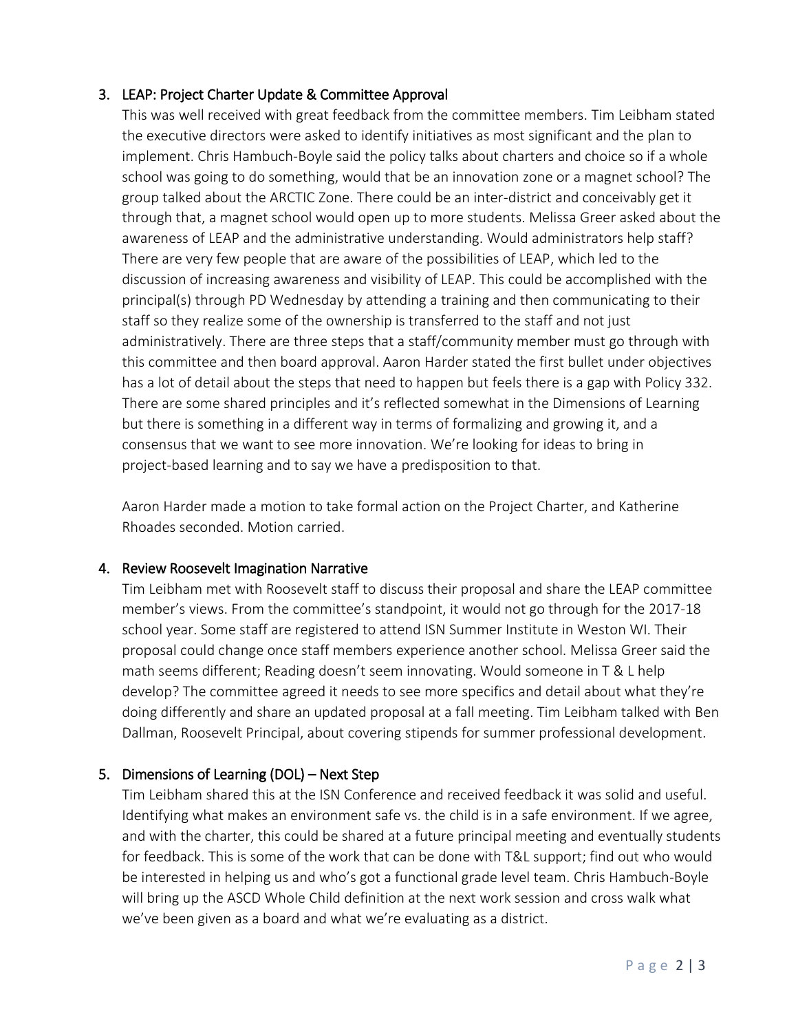# 3. LEAP: Project Charter Update & Committee Approval

This was well received with great feedback from the committee members. Tim Leibham stated the executive directors were asked to identify initiatives as most significant and the plan to implement. Chris Hambuch-Boyle said the policy talks about charters and choice so if a whole school was going to do something, would that be an innovation zone or a magnet school? The group talked about the ARCTIC Zone. There could be an inter-district and conceivably get it through that, a magnet school would open up to more students. Melissa Greer asked about the awareness of LEAP and the administrative understanding. Would administrators help staff? There are very few people that are aware of the possibilities of LEAP, which led to the discussion of increasing awareness and visibility of LEAP. This could be accomplished with the principal(s) through PD Wednesday by attending a training and then communicating to their staff so they realize some of the ownership is transferred to the staff and not just administratively. There are three steps that a staff/community member must go through with this committee and then board approval. Aaron Harder stated the first bullet under objectives has a lot of detail about the steps that need to happen but feels there is a gap with Policy 332. There are some shared principles and it's reflected somewhat in the Dimensions of Learning but there is something in a different way in terms of formalizing and growing it, and a consensus that we want to see more innovation. We're looking for ideas to bring in project-based learning and to say we have a predisposition to that.

Aaron Harder made a motion to take formal action on the Project Charter, and Katherine Rhoades seconded. Motion carried.

#### 4. Review Roosevelt Imagination Narrative

Tim Leibham met with Roosevelt staff to discuss their proposal and share the LEAP committee member's views. From the committee's standpoint, it would not go through for the 2017-18 school year. Some staff are registered to attend ISN Summer Institute in Weston WI. Their proposal could change once staff members experience another school. Melissa Greer said the math seems different; Reading doesn't seem innovating. Would someone in T & L help develop? The committee agreed it needs to see more specifics and detail about what they're doing differently and share an updated proposal at a fall meeting. Tim Leibham talked with Ben Dallman, Roosevelt Principal, about covering stipends for summer professional development.

# 5. Dimensions of Learning (DOL) – Next Step

Tim Leibham shared this at the ISN Conference and received feedback it was solid and useful. Identifying what makes an environment safe vs. the child is in a safe environment. If we agree, and with the charter, this could be shared at a future principal meeting and eventually students for feedback. This is some of the work that can be done with T&L support; find out who would be interested in helping us and who's got a functional grade level team. Chris Hambuch-Boyle will bring up the ASCD Whole Child definition at the next work session and cross walk what we've been given as a board and what we're evaluating as a district.